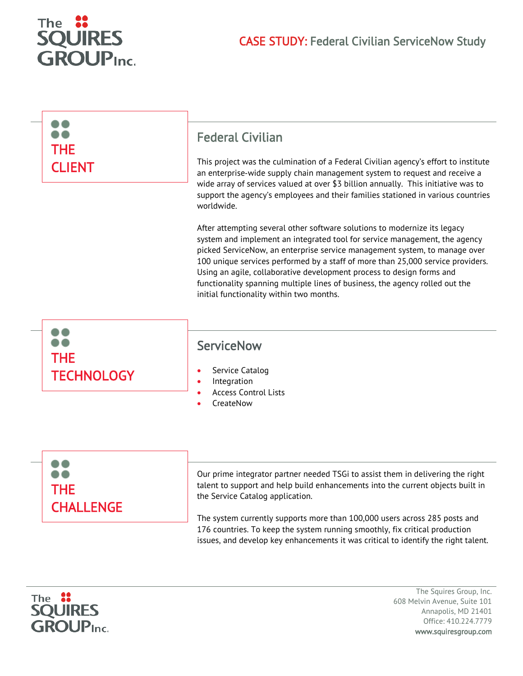

| <b>THE</b><br><b>CLIENT</b>     | <b>Federal Civilian</b><br>This project was the culmination of a Federal Civilian agency's effort to institute<br>an enterprise-wide supply chain management system to request and receive a<br>wide array of services valued at over \$3 billion annually. This initiative was to<br>support the agency's employees and their families stationed in various countries<br>worldwide.<br>After attempting several other software solutions to modernize its legacy<br>system and implement an integrated tool for service management, the agency<br>picked ServiceNow, an enterprise service management system, to manage over<br>100 unique services performed by a staff of more than 25,000 service providers.<br>Using an agile, collaborative development process to design forms and<br>functionality spanning multiple lines of business, the agency rolled out the<br>initial functionality within two months. |
|---------------------------------|-----------------------------------------------------------------------------------------------------------------------------------------------------------------------------------------------------------------------------------------------------------------------------------------------------------------------------------------------------------------------------------------------------------------------------------------------------------------------------------------------------------------------------------------------------------------------------------------------------------------------------------------------------------------------------------------------------------------------------------------------------------------------------------------------------------------------------------------------------------------------------------------------------------------------|
| <b>THE</b><br><b>TECHNOLOGY</b> | <b>ServiceNow</b><br>Service Catalog<br>$\bullet$<br>Integration<br>٠<br><b>Access Control Lists</b><br>CreateNow                                                                                                                                                                                                                                                                                                                                                                                                                                                                                                                                                                                                                                                                                                                                                                                                     |
|                                 | Our prime integrator partner needed TSGi to assist them in delivering the right                                                                                                                                                                                                                                                                                                                                                                                                                                                                                                                                                                                                                                                                                                                                                                                                                                       |

talent to support and help build enhancements into the current objects built in the Service Catalog application.

The system currently supports more than 100,000 users across 285 posts and 176 countries. To keep the system running smoothly, fix critical production issues, and develop key enhancements it was critical to identify the right talent.



THE

**CHALLENGE** 

The Squires Group, Inc. 608 Melvin Avenue, Suite 101 Annapolis, MD 21401 Office: 410.224.7779 www.squiresgroup.com